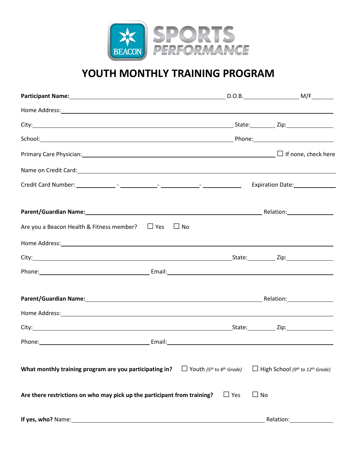

## **YOUTH MONTHLY TRAINING PROGRAM**

| Home Address: Note and the set of the set of the set of the set of the set of the set of the set of the set of the set of the set of the set of the set of the set of the set of the set of the set of the set of the set of t |                                                         |                                                                |
|--------------------------------------------------------------------------------------------------------------------------------------------------------------------------------------------------------------------------------|---------------------------------------------------------|----------------------------------------------------------------|
|                                                                                                                                                                                                                                |                                                         |                                                                |
|                                                                                                                                                                                                                                |                                                         |                                                                |
|                                                                                                                                                                                                                                |                                                         |                                                                |
| Name on Credit Card: Name on Credit Card Contract Contract Contract Contract Contract Contract Contract Contract Contract Contract Contract Contract Contract Contract Contract Contract Contract Contract Contract Contract C |                                                         |                                                                |
|                                                                                                                                                                                                                                |                                                         | Expiration Date: 1992                                          |
|                                                                                                                                                                                                                                |                                                         |                                                                |
| Are you a Beacon Health & Fitness member? $\Box$ Yes<br>$\Box$ No                                                                                                                                                              |                                                         |                                                                |
|                                                                                                                                                                                                                                |                                                         |                                                                |
|                                                                                                                                                                                                                                |                                                         |                                                                |
|                                                                                                                                                                                                                                |                                                         |                                                                |
| Parent/Guardian Name: 1990 Manual Communication Relation: 1990 Manual Communication:                                                                                                                                           |                                                         |                                                                |
| Home Address: Note and the second contract of the second contract of the second contract of the second contract of the second contract of the second contract of the second contract of the second contract of the second cont |                                                         |                                                                |
|                                                                                                                                                                                                                                |                                                         |                                                                |
|                                                                                                                                                                                                                                |                                                         |                                                                |
| What monthly training program are you participating in?                                                                                                                                                                        | $\Box$ Youth (5 <sup>th</sup> to 8 <sup>th</sup> Grade) | $\Box$ High School (9 <sup>th</sup> to 12 <sup>th</sup> Grade) |
| Are there restrictions on who may pick up the participant from training?                                                                                                                                                       | $\Box$ Yes<br>$\Box$ No                                 |                                                                |
| If yes, who? Name:                                                                                                                                                                                                             |                                                         | Relation:                                                      |